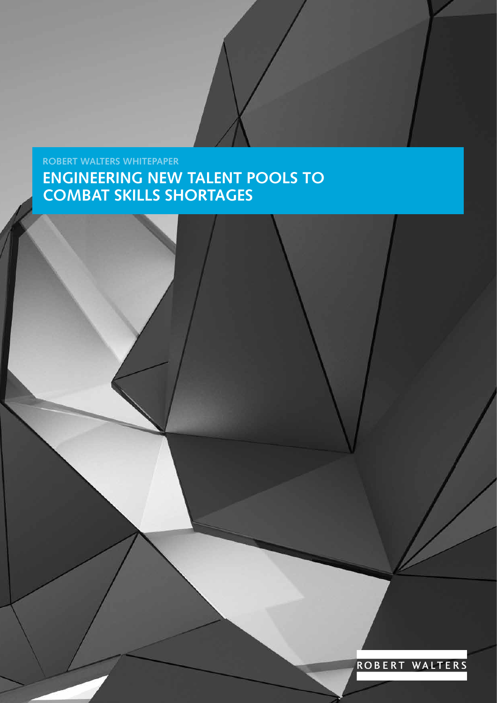# **ROBERT WALTERS WHITEPAPER ENGINEERING NEW TALENT POOLS TO COMBAT SKILLS SHORTAGES**

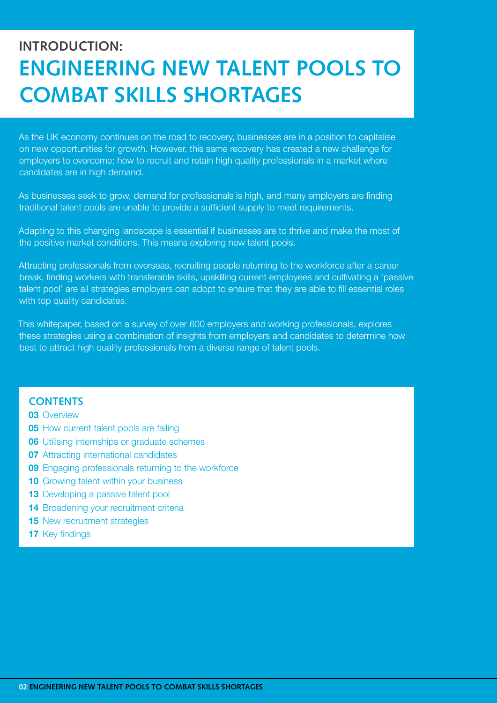# **INTRODUCTION: ENGINEERING NEW TALENT POOLS TO COMBAT SKILLS SHORTAGES**

As the UK economy continues on the road to recovery, businesses are in a position to capitalise on new opportunities for growth. However, this same recovery has created a new challenge for employers to overcome; how to recruit and retain high quality professionals in a market where candidates are in high demand.

As businesses seek to grow, demand for professionals is high, and many employers are finding traditional talent pools are unable to provide a sufficient supply to meet requirements.

Adapting to this changing landscape is essential if businesses are to thrive and make the most of the positive market conditions. This means exploring new talent pools.

Attracting professionals from overseas, recruiting people returning to the workforce after a career break, finding workers with transferable skills, upskilling current employees and cultivating a 'passive talent pool' are all strategies employers can adopt to ensure that they are able to fill essential roles with top quality candidates.

This whitepaper, based on a survey of over 600 employers and working professionals, explores these strategies using a combination of insights from employers and candidates to determine how best to attract high quality professionals from a diverse range of talent pools.

## **CONTENTS**

#### **03** Overview

- **05** How current talent pools are failing
- **06** Utilising internships or graduate schemes
- **07** Attracting international candidates
- **09** Engaging professionals returning to the workforce
- **10** Growing talent within your business
- **13** Developing a passive talent pool
- **14** Broadening your recruitment criteria
- **15** New recruitment strategies
- **17** Key findings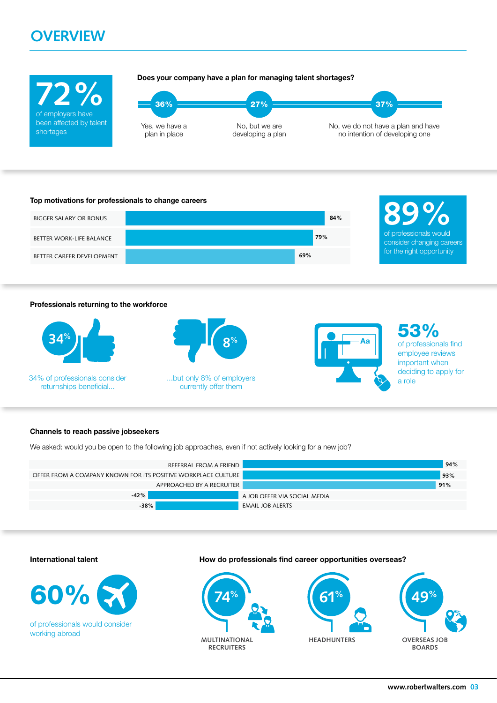# **OVERVIEW**





#### **Professionals returning to the workforce**



34% of professionals consider and the substitutionly 8% of employers and the state of the state and the state and the state and the state and the state and the state and the state and the state and the state and the state returnships beneficial...



currently offer them

**Aa**

53% of professionals find employee reviews important when deciding to apply for

#### **Channels to reach passive jobseekers**

We asked: would you be open to the following job approaches, even if not actively looking for a new job?





of professionals would consider working abroad

**International talent How do professionals find career opportunities overseas?**





**HEADHUNTERS**

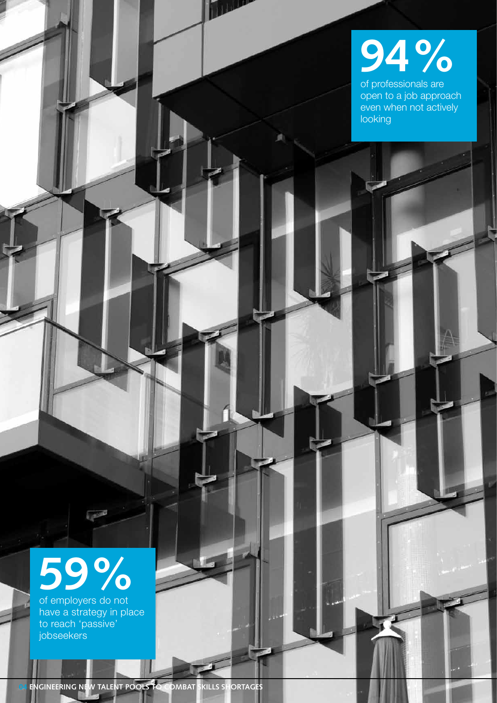# **94%**

**TILL** 

of professionals are open to a job approach even when not actively looking

# **59%**

of employers do not have a strategy in place to reach 'passive' jobseekers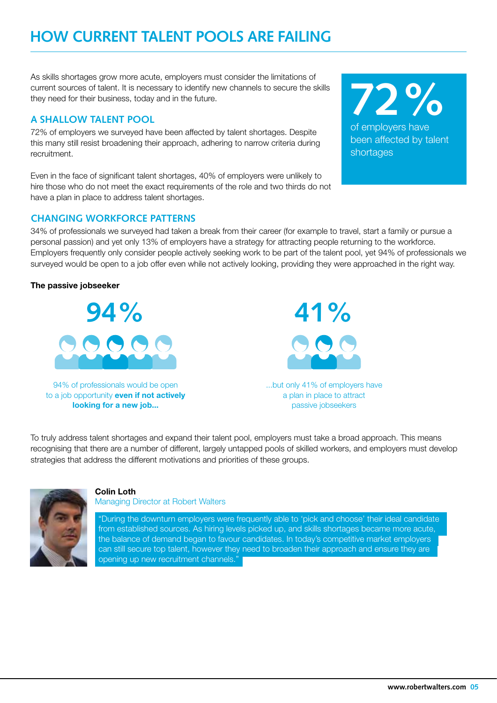# **HOW CURRENT TALENT POOLS ARE FAILING**

As skills shortages grow more acute, employers must consider the limitations of current sources of talent. It is necessary to identify new channels to secure the skills they need for their business, today and in the future.

## **A SHALLOW TALENT POOL**

72% of employers we surveyed have been affected by talent shortages. Despite this many still resist broadening their approach, adhering to narrow criteria during recruitment.

Even in the face of significant talent shortages, 40% of employers were unlikely to hire those who do not meet the exact requirements of the role and two thirds do not have a plan in place to address talent shortages.

## **CHANGING WORKFORCE PATTERNS**

34% of professionals we surveyed had taken a break from their career (for example to travel, start a family or pursue a personal passion) and yet only 13% of employers have a strategy for attracting people returning to the workforce. Employers frequently only consider people actively seeking work to be part of the talent pool, yet 94% of professionals we surveyed would be open to a job offer even while not actively looking, providing they were approached in the right way.

## **The passive jobseeker**

**94% 41%**  $\bigcirc$   $\bigcirc$   $\bigcirc$ 

94% of professionals would be open to a job opportunity **even if not actively looking for a new job...**

...but only 41% of employers have a plan in place to attract passive jobseekers

To truly address talent shortages and expand their talent pool, employers must take a broad approach. This means recognising that there are a number of different, largely untapped pools of skilled workers, and employers must develop strategies that address the different motivations and priorities of these groups.



### **Colin Loth**

Managing Director at Robert Walters

"During the downturn employers were frequently able to 'pick and choose' their ideal candidate from established sources. As hiring levels picked up, and skills shortages became more acute, the balance of demand began to favour candidates. In today's competitive market employers can still secure top talent, however they need to broaden their approach and ensure they are opening up new recruitment channels."

of employers have been affected by talent shortages **72%**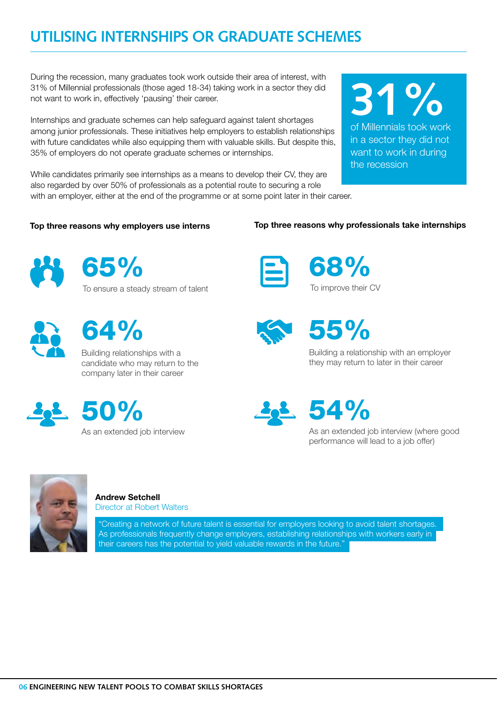# **UTILISING INTERNSHIPS OR GRADUATE SCHEMES**

During the recession, many graduates took work outside their area of interest, with 31% of Millennial professionals (those aged 18-34) taking work in a sector they did not want to work in, effectively 'pausing' their career.

Internships and graduate schemes can help safeguard against talent shortages among junior professionals. These initiatives help employers to establish relationships with future candidates while also equipping them with valuable skills. But despite this, 35% of employers do not operate graduate schemes or internships.

While candidates primarily see internships as a means to develop their CV, they are also regarded by over 50% of professionals as a potential route to securing a role with an employer, either at the end of the programme or at some point later in their career.

### **Top three reasons why employers use interns**

**Top three reasons why professionals take internships**





To ensure a steady stream of talent



64%

Building relationships with a candidate who may return to the company later in their career





68% To improve their CV



# 55%

Building a relationship with an employer they may return to later in their career

54%

As an extended job interview (where good performance will lead to a job offer)



**Andrew Setchell**

Director at Robert Walters

"Creating a network of future talent is essential for employers looking to avoid talent shortages. As professionals frequently change employers, establishing relationships with workers early in their careers has the potential to yield valuable rewards in the future."

the recession

of Millennials took work in a sector they did not want to work in during

**31%**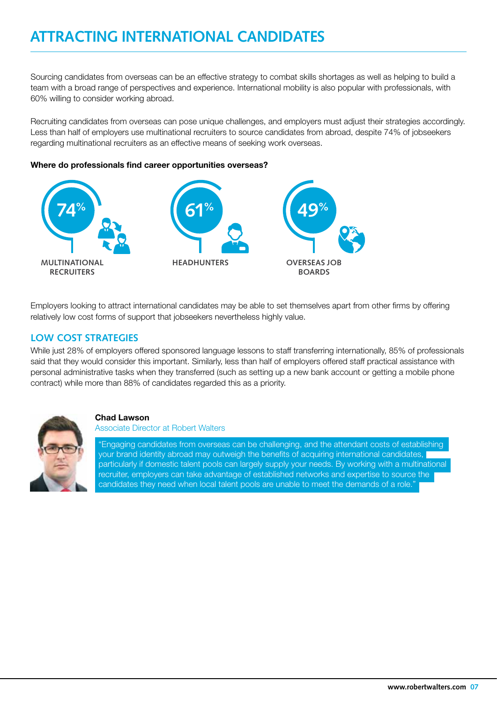# **ATTRACTING INTERNATIONAL CANDIDATES**

Sourcing candidates from overseas can be an effective strategy to combat skills shortages as well as helping to build a team with a broad range of perspectives and experience. International mobility is also popular with professionals, with 60% willing to consider working abroad.

Recruiting candidates from overseas can pose unique challenges, and employers must adjust their strategies accordingly. Less than half of employers use multinational recruiters to source candidates from abroad, despite 74% of jobseekers regarding multinational recruiters as an effective means of seeking work overseas.

#### **Where do professionals find career opportunities overseas?**



Employers looking to attract international candidates may be able to set themselves apart from other firms by offering relatively low cost forms of support that jobseekers nevertheless highly value.

## **LOW COST STRATEGIES**

While just 28% of employers offered sponsored language lessons to staff transferring internationally, 85% of professionals said that they would consider this important. Similarly, less than half of employers offered staff practical assistance with personal administrative tasks when they transferred (such as setting up a new bank account or getting a mobile phone contract) while more than 88% of candidates regarded this as a priority.



#### **Chad Lawson**

Associate Director at Robert Walters

"Engaging candidates from overseas can be challenging, and the attendant costs of establishing your brand identity abroad may outweigh the benefits of acquiring international candidates, particularly if domestic talent pools can largely supply your needs. By working with a multinational recruiter, employers can take advantage of established networks and expertise to source the candidates they need when local talent pools are unable to meet the demands of a role."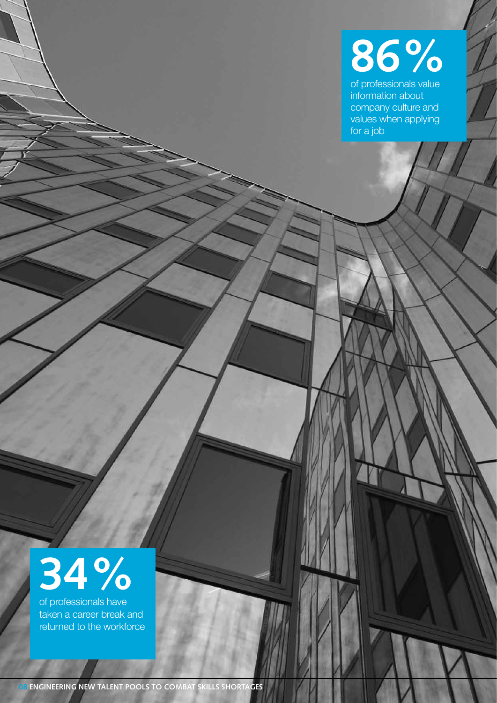

of professionals value information about company culture and values when applying for a job

# **34%**

of professionals have taken a career break and returned to the workforce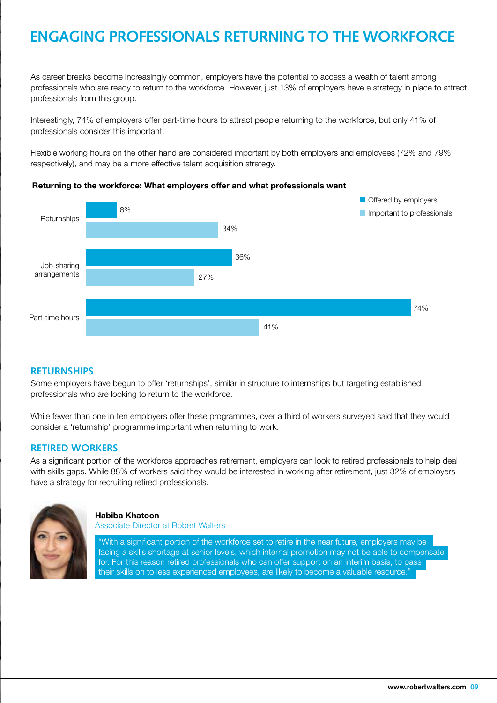# **ENGAGING PROFESSIONALS RETURNING TO THE WORKFORCE**

As career breaks become increasingly common, employers have the potential to access a wealth of talent among professionals who are ready to return to the workforce. However, just 13% of employers have a strategy in place to attract professionals from this group.

Interestingly, 74% of employers offer part-time hours to attract people returning to the workforce, but only 41% of professionals consider this important.

Flexible working hours on the other hand are considered important by both employers and employees (72% and 79% respectively), and may be a more effective talent acquisition strategy.

#### **Returning to the workforce: What employers offer and what professionals want**



#### **RETURNSHIPS**

Some employers have begun to offer 'returnships', similar in structure to internships but targeting established professionals who are looking to return to the workforce.

While fewer than one in ten employers offer these programmes, over a third of workers surveyed said that they would consider a 'returnship' programme important when returning to work.

#### **RETIRED WORKERS**

As a significant portion of the workforce approaches retirement, employers can look to retired professionals to help deal with skills gaps. While 88% of workers said they would be interested in working after retirement, just 32% of employers have a strategy for recruiting retired professionals.



#### **Habiba Khatoon**

Associate Director at Robert Walters

"With a significant portion of the workforce set to retire in the near future, employers may be facing a skills shortage at senior levels, which internal promotion may not be able to compensate for. For this reason retired professionals who can offer support on an interim basis, to pass their skills on to less experienced employees, are likely to become a valuable resource.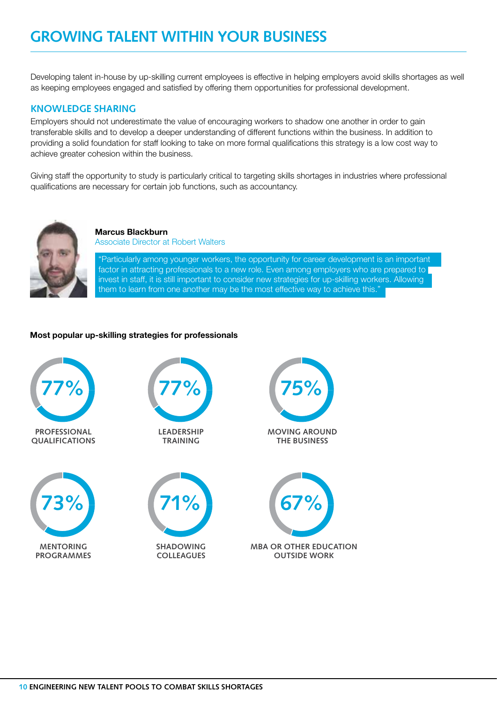# **GROWING TALENT WITHIN YOUR BUSINESS**

Developing talent in-house by up-skilling current employees is effective in helping employers avoid skills shortages as well as keeping employees engaged and satisfied by offering them opportunities for professional development.

### **KNOWLEDGE SHARING**

Employers should not underestimate the value of encouraging workers to shadow one another in order to gain transferable skills and to develop a deeper understanding of different functions within the business. In addition to providing a solid foundation for staff looking to take on more formal qualifications this strategy is a low cost way to achieve greater cohesion within the business.

Giving staff the opportunity to study is particularly critical to targeting skills shortages in industries where professional qualifications are necessary for certain job functions, such as accountancy.



**Marcus Blackburn**  Associate Director at Robert Walters

"Particularly among younger workers, the opportunity for career development is an important factor in attracting professionals to a new role. Even among employers who are prepared to invest in staff, it is still important to consider new strategies for up-skilling workers. Allowing them to learn from one another may be the most effective way to achieve this."

#### **Most popular up-skilling strategies for professionals**

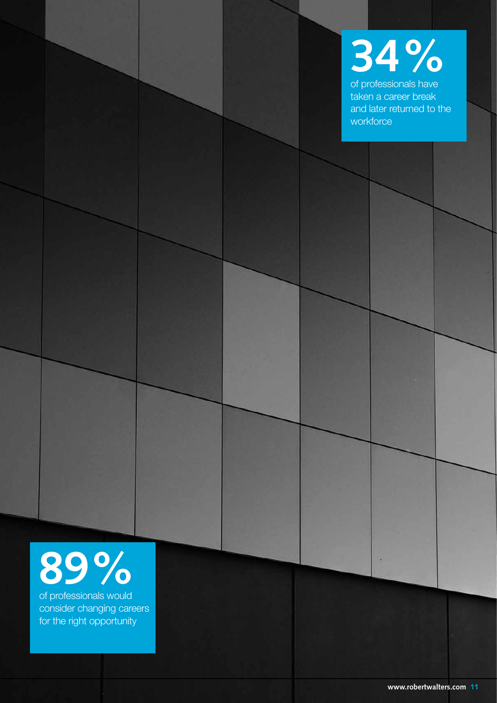

of professionals have taken a career break and later returned to the **workforce** 

# **89%**

of professionals would consider changing careers for the right opportunity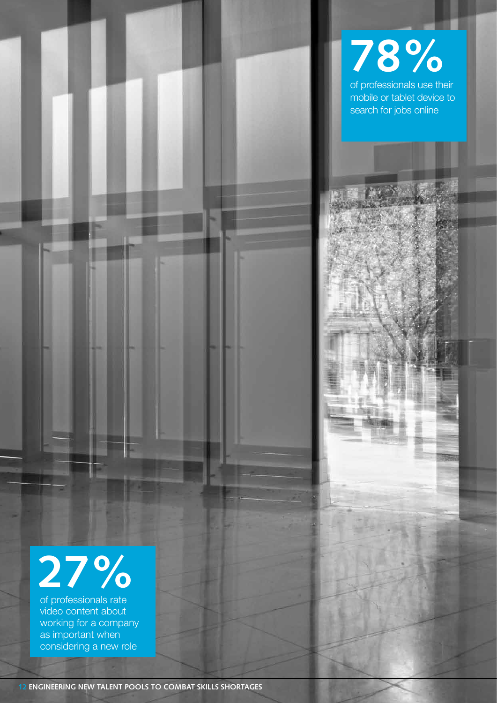

# **27%**

of professionals rate video content about working for a company as important when considering a new role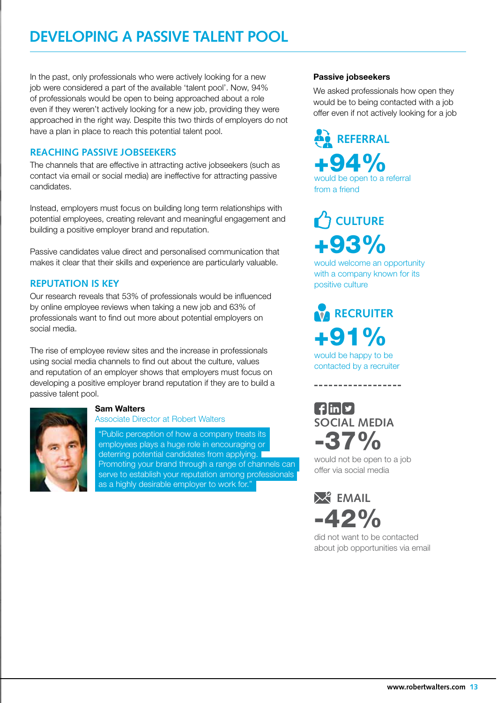# **DEVELOPING A PASSIVE TALENT POOL**

In the past, only professionals who were actively looking for a new job were considered a part of the available 'talent pool'. Now, 94% of professionals would be open to being approached about a role even if they weren't actively looking for a new job, providing they were approached in the right way. Despite this two thirds of employers do not have a plan in place to reach this potential talent pool.

## **REACHING PASSIVE JOBSEEKERS**

The channels that are effective in attracting active jobseekers (such as contact via email or social media) are ineffective for attracting passive candidates.

Instead, employers must focus on building long term relationships with potential employees, creating relevant and meaningful engagement and building a positive employer brand and reputation.

Passive candidates value direct and personalised communication that makes it clear that their skills and experience are particularly valuable.

## **REPUTATION IS KEY**

Our research reveals that 53% of professionals would be influenced by online employee reviews when taking a new job and 63% of professionals want to find out more about potential employers on social media.

The rise of employee review sites and the increase in professionals using social media channels to find out about the culture, values and reputation of an employer shows that employers must focus on developing a positive employer brand reputation if they are to build a passive talent pool.



## **Sam Walters**

#### Associate Director at Robert Walters

"Public perception of how a company treats its employees plays a huge role in encouraging or deterring potential candidates from applying. Promoting your brand through a range of channels can serve to establish your reputation among professionals ( as a highly desirable employer to work for."

#### **Passive jobseekers**

We asked professionals how open they would be to being contacted with a job offer even if not actively looking for a job

+94% would be open to a referral from a friend **REFERRAL**

+93% **CULTURE** 

would welcome an opportunity with a company known for its positive culture

+91% would be happy to be **RECRUITER** 

contacted by a recruiter

----------------

 $\left[\frac{1}{2}\right]$ in $\left[\frac{1}{2}\right]$ **SOCIAL MEDIA** -37%

would not be open to a job offer via social media

 $-42%$ **EMAIL** 

did not want to be contacted about job opportunities via email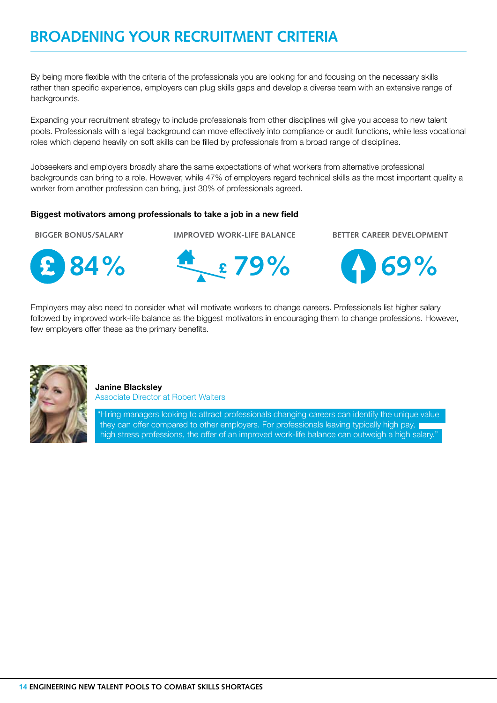# **BROADENING YOUR RECRUITMENT CRITERIA**

By being more flexible with the criteria of the professionals you are looking for and focusing on the necessary skills rather than specific experience, employers can plug skills gaps and develop a diverse team with an extensive range of backgrounds.

Expanding your recruitment strategy to include professionals from other disciplines will give you access to new talent pools. Professionals with a legal background can move effectively into compliance or audit functions, while less vocational roles which depend heavily on soft skills can be filled by professionals from a broad range of disciplines.

Jobseekers and employers broadly share the same expectations of what workers from alternative professional backgrounds can bring to a role. However, while 47% of employers regard technical skills as the most important quality a worker from another profession can bring, just 30% of professionals agreed.

#### **Biggest motivators among professionals to take a job in a new field**



**BIGGER BONUS/SALARY BETTER CAREER DEVELOPMENT IMPROVED WORK-LIFE BALANCE**





Employers may also need to consider what will motivate workers to change careers. Professionals list higher salary followed by improved work-life balance as the biggest motivators in encouraging them to change professions. However, few employers offer these as the primary benefits.



**Janine Blacksley** Associate Director at Robert Walters

"Hiring managers looking to attract professionals changing careers can identify the unique value they can offer compared to other employers. For professionals leaving typically high pay,

high stress professions, the offer of an improved work-life balance can outweigh a high salary."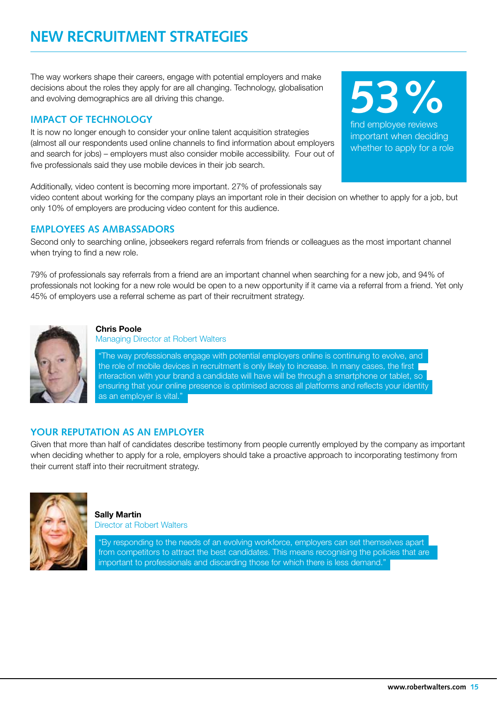# **NEW RECRUITMENT STRATEGIES**

The way workers shape their careers, engage with potential employers and make decisions about the roles they apply for are all changing. Technology, globalisation and evolving demographics are all driving this change.

## **IMPACT OF TECHNOLOGY**

It is now no longer enough to consider your online talent acquisition strategies (almost all our respondents used online channels to find information about employers and search for jobs) – employers must also consider mobile accessibility. Four out of five professionals said they use mobile devices in their job search.

Additionally, video content is becoming more important. 27% of professionals say

video content about working for the company plays an important role in their decision on whether to apply for a job, but only 10% of employers are producing video content for this audience.

## **EMPLOYEES AS AMBASSADORS**

Second only to searching online, jobseekers regard referrals from friends or colleagues as the most important channel when trying to find a new role.

79% of professionals say referrals from a friend are an important channel when searching for a new job, and 94% of professionals not looking for a new role would be open to a new opportunity if it came via a referral from a friend. Yet only 45% of employers use a referral scheme as part of their recruitment strategy.

"The way professionals engage with potential employers online is continuing to evolve, and

the role of mobile devices in recruitment is only likely to increase. In many cases, the first interaction with your brand a candidate will have will be through a smartphone or tablet, so ensuring that your online presence is optimised across all platforms and reflects your identity as an employer is vital."

Managing Director at Robert Walters

# **YOUR REPUTATION AS AN EMPLOYER**

**Chris Poole** 

Given that more than half of candidates describe testimony from people currently employed by the company as important when deciding whether to apply for a role, employers should take a proactive approach to incorporating testimony from their current staff into their recruitment strategy.

> **Sally Martin**  Director at Robert Walters

"By responding to the needs of an evolving workforce, employers can set themselves apart from competitors to attract the best candidates. This means recognising the policies that are important to professionals and discarding those for which there is less demand."





find employee reviews important when deciding whether to apply for a role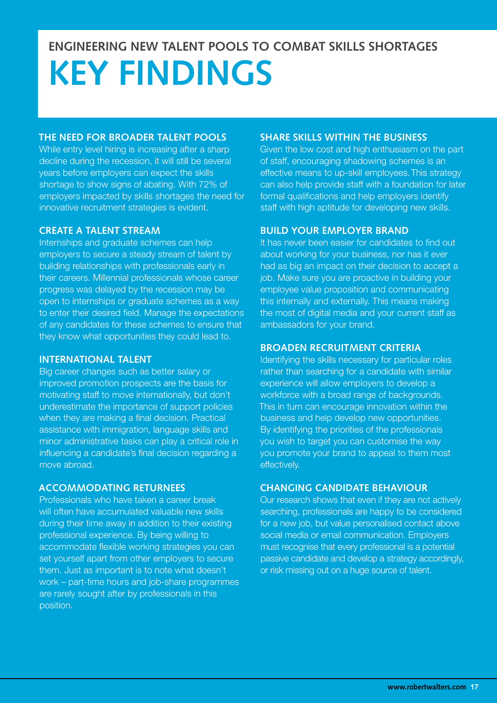# **ENGINEERING NEW TALENT POOLS TO COMBAT SKILLS SHORTAGES KEY FINDINGS**

## **THE NEED FOR BROADER TALENT POOLS**

While entry level hiring is increasing after a sharp decline during the recession, it will still be several years before employers can expect the skills shortage to show signs of abating. With 72% of employers impacted by skills shortages the need for innovative recruitment strategies is evident.

## **CREATE A TALENT STREAM**

Internships and graduate schemes can help employers to secure a steady stream of talent by building relationships with professionals early in their careers. Millennial professionals whose career progress was delayed by the recession may be open to internships or graduate schemes as a way to enter their desired field. Manage the expectations of any candidates for these schemes to ensure that they know what opportunities they could lead to.

### **INTERNATIONAL TALENT**

Big career changes such as better salary or improved promotion prospects are the basis for motivating staff to move internationally, but don't underestimate the importance of support policies when they are making a final decision. Practical assistance with immigration, language skills and minor administrative tasks can play a critical role in influencing a candidate's final decision regarding a move abroad.

### **ACCOMMODATING RETURNEES**

Professionals who have taken a career break will often have accumulated valuable new skills during their time away in addition to their existing professional experience. By being willing to accommodate flexible working strategies you can set yourself apart from other employers to secure them. Just as important is to note what doesn't work – part-time hours and job-share programmes are rarely sought after by professionals in this position.

## **SHARE SKILLS WITHIN THE BUSINESS**

Given the low cost and high enthusiasm on the part of staff, encouraging shadowing schemes is an effective means to up-skill employees.This strategy can also help provide staff with a foundation for later formal qualifications and help employers identify staff with high aptitude for developing new skills.

## **BUILD YOUR EMPLOYER BRAND**

It has never been easier for candidates to find out about working for your business, nor has it ever had as big an impact on their decision to accept a job. Make sure you are proactive in building your employee value proposition and communicating this internally and externally. This means making the most of digital media and your current staff as ambassadors for your brand.

## **BROADEN RECRUITMENT CRITERIA**

Identifying the skills necessary for particular roles rather than searching for a candidate with similar experience will allow employers to develop a workforce with a broad range of backgrounds. This in turn can encourage innovation within the business and help develop new opportunities. By identifying the priorities of the professionals you wish to target you can customise the way you promote your brand to appeal to them most effectively.

## **CHANGING CANDIDATE BEHAVIOUR**

Our research shows that even if they are not actively searching, professionals are happy to be considered for a new job, but value personalised contact above social media or email communication. Employers must recognise that every professional is a potential passive candidate and develop a strategy accordingly, or risk missing out on a huge source of talent.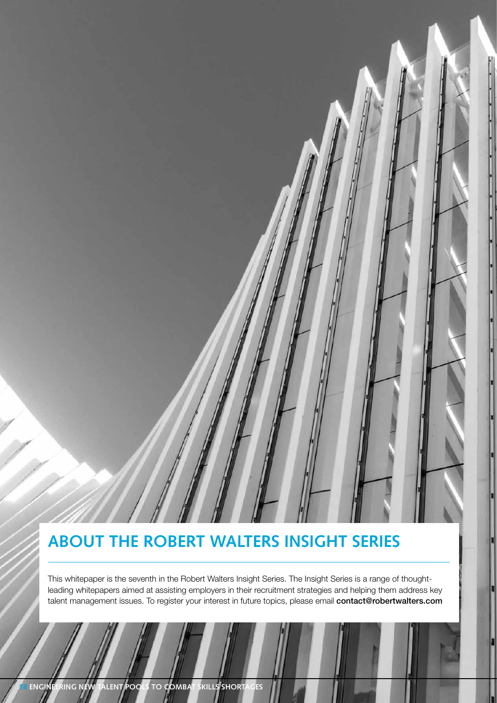# **ABOUT THE ROBERT WALTERS INSIGHT SERIES**

This whitepaper is the seventh in the Robert Walters Insight Series. The Insight Series is a range of thoughtleading whitepapers aimed at assisting employers in their recruitment strategies and helping them address key talent management issues. To register your interest in future topics, please email contact@robertwalters.com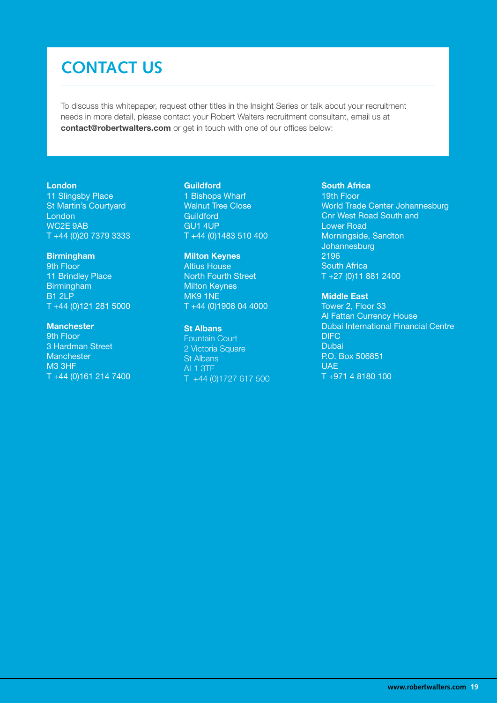# **CONTACT US**

To discuss this whitepaper, request other titles in the Insight Series or talk about your recruitment needs in more detail, please contact your Robert Walters recruitment consultant, email us at **contact@robertwalters.com** or get in touch with one of our offices below:

#### **London**

11 Slingsby Place St Martin's Courtyard London WC2E 9AB T +44 (0)20 7379 3333

#### **Birmingham**

9th Floor 11 Brindley Place Birmingham B1 2LP T +44 (0)121 281 5000

#### **Manchester**

9th Floor 3 Hardman Street **Manchester** M3 3HF T +44 (0)161 214 7400

#### **Guildford**

1 Bishops Wharf Walnut Tree Close **Guildford** GU1 4UP T +44 (0)1483 510 400

#### **Milton Keynes** Altius House North Fourth Street Milton Keynes MK9 1NE T +44 (0)1908 04 4000

#### St Albans

Fountain Court 2 Victoria Square St Albans AL1 3TF T +44 (0)1727 617 500

#### **South Africa**

19th Floor World Trade Center Johannesburg Cnr West Road South and Lower Road Morningside, Sandton Johannesburg 2196 South Africa T +27 (0)11 881 2400

#### **Middle East**

Tower 2, Floor 33 Al Fattan Currency House Dubai International Financial Centre DIFC Dubai P.O. Box 506851 **UAE** T +971 4 8180 100